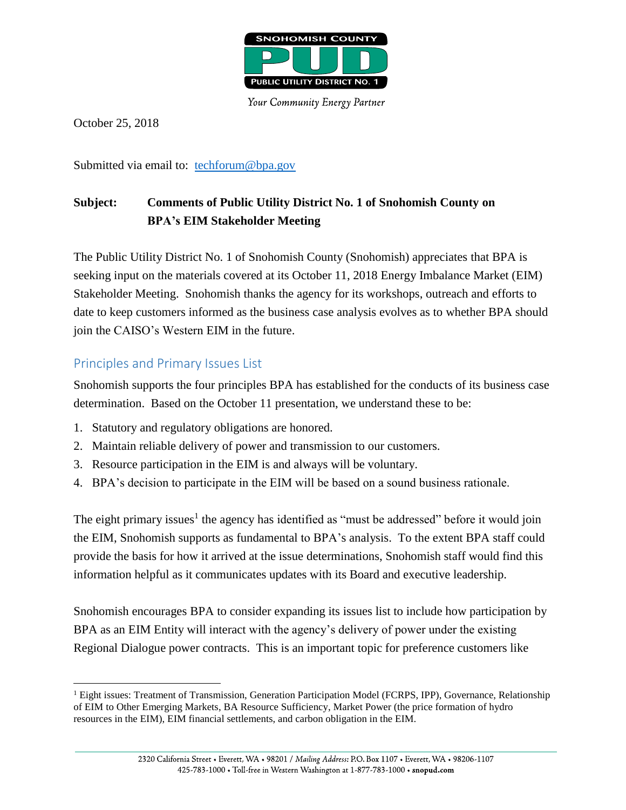

Your Community Energy Partner

October 25, 2018

 $\overline{a}$ 

Submitted via email to: [techforum@bpa.gov](mailto:techforum@bpa.gov)

# **Subject: Comments of Public Utility District No. 1 of Snohomish County on BPA's EIM Stakeholder Meeting**

The Public Utility District No. 1 of Snohomish County (Snohomish) appreciates that BPA is seeking input on the materials covered at its October 11, 2018 Energy Imbalance Market (EIM) Stakeholder Meeting. Snohomish thanks the agency for its workshops, outreach and efforts to date to keep customers informed as the business case analysis evolves as to whether BPA should join the CAISO's Western EIM in the future.

#### Principles and Primary Issues List

Snohomish supports the four principles BPA has established for the conducts of its business case determination. Based on the October 11 presentation, we understand these to be:

- 1. Statutory and regulatory obligations are honored.
- 2. Maintain reliable delivery of power and transmission to our customers.
- 3. Resource participation in the EIM is and always will be voluntary.
- 4. BPA's decision to participate in the EIM will be based on a sound business rationale.

The eight primary issues<sup>1</sup> the agency has identified as "must be addressed" before it would join the EIM, Snohomish supports as fundamental to BPA's analysis. To the extent BPA staff could provide the basis for how it arrived at the issue determinations, Snohomish staff would find this information helpful as it communicates updates with its Board and executive leadership.

Snohomish encourages BPA to consider expanding its issues list to include how participation by BPA as an EIM Entity will interact with the agency's delivery of power under the existing Regional Dialogue power contracts. This is an important topic for preference customers like

<sup>&</sup>lt;sup>1</sup> Eight issues: Treatment of Transmission, Generation Participation Model (FCRPS, IPP), Governance, Relationship of EIM to Other Emerging Markets, BA Resource Sufficiency, Market Power (the price formation of hydro resources in the EIM), EIM financial settlements, and carbon obligation in the EIM.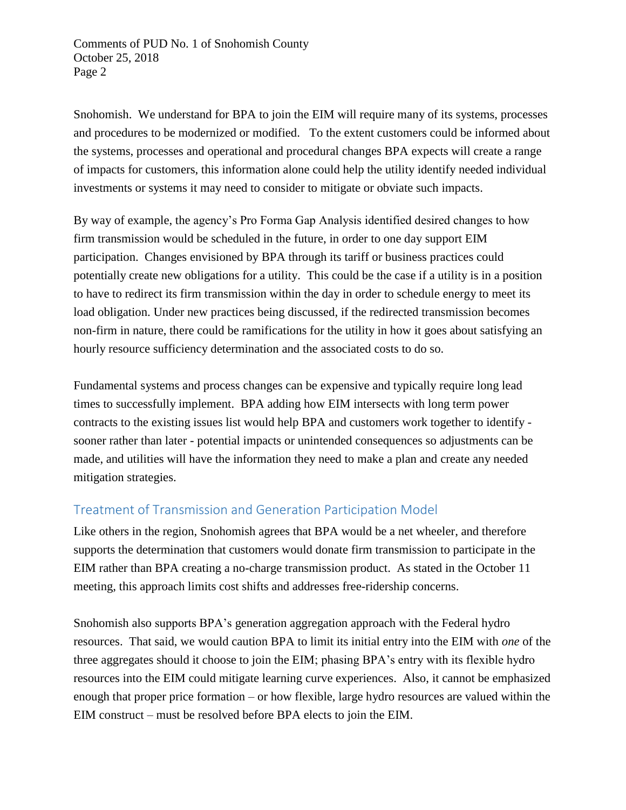Comments of PUD No. 1 of Snohomish County October 25, 2018 Page 2

Snohomish. We understand for BPA to join the EIM will require many of its systems, processes and procedures to be modernized or modified. To the extent customers could be informed about the systems, processes and operational and procedural changes BPA expects will create a range of impacts for customers, this information alone could help the utility identify needed individual investments or systems it may need to consider to mitigate or obviate such impacts.

By way of example, the agency's Pro Forma Gap Analysis identified desired changes to how firm transmission would be scheduled in the future, in order to one day support EIM participation. Changes envisioned by BPA through its tariff or business practices could potentially create new obligations for a utility. This could be the case if a utility is in a position to have to redirect its firm transmission within the day in order to schedule energy to meet its load obligation. Under new practices being discussed, if the redirected transmission becomes non-firm in nature, there could be ramifications for the utility in how it goes about satisfying an hourly resource sufficiency determination and the associated costs to do so.

Fundamental systems and process changes can be expensive and typically require long lead times to successfully implement. BPA adding how EIM intersects with long term power contracts to the existing issues list would help BPA and customers work together to identify sooner rather than later - potential impacts or unintended consequences so adjustments can be made, and utilities will have the information they need to make a plan and create any needed mitigation strategies.

## Treatment of Transmission and Generation Participation Model

Like others in the region, Snohomish agrees that BPA would be a net wheeler, and therefore supports the determination that customers would donate firm transmission to participate in the EIM rather than BPA creating a no-charge transmission product. As stated in the October 11 meeting, this approach limits cost shifts and addresses free-ridership concerns.

Snohomish also supports BPA's generation aggregation approach with the Federal hydro resources. That said, we would caution BPA to limit its initial entry into the EIM with *one* of the three aggregates should it choose to join the EIM; phasing BPA's entry with its flexible hydro resources into the EIM could mitigate learning curve experiences. Also, it cannot be emphasized enough that proper price formation – or how flexible, large hydro resources are valued within the EIM construct – must be resolved before BPA elects to join the EIM.